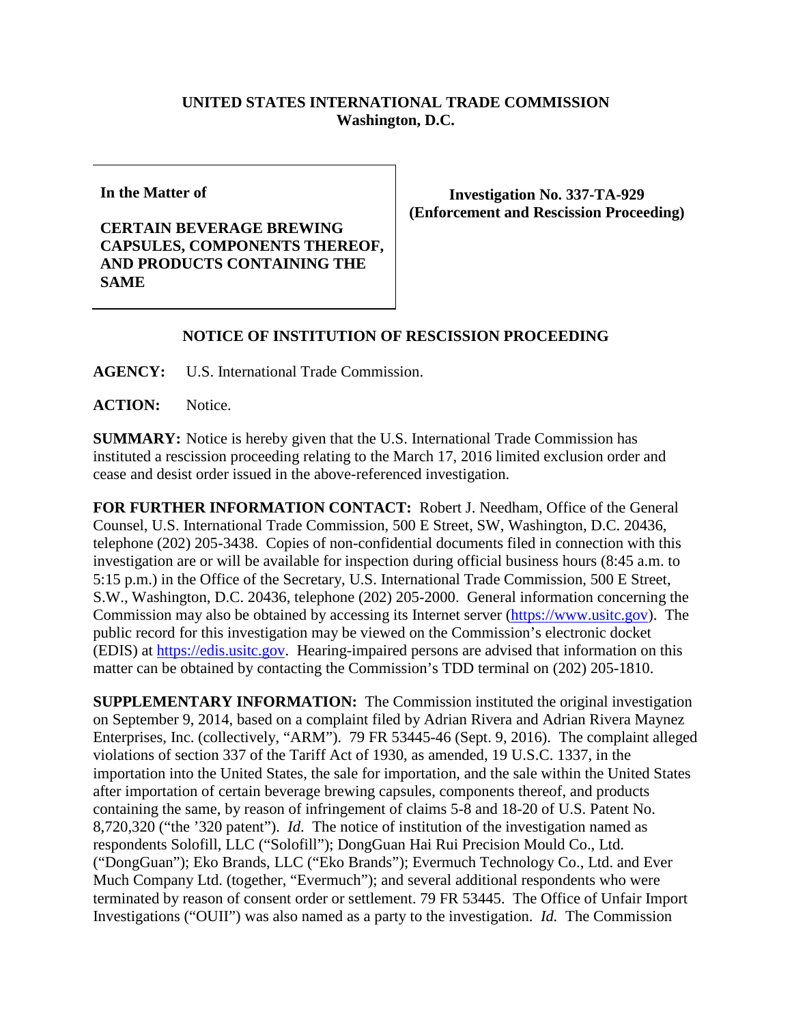## **UNITED STATES INTERNATIONAL TRADE COMMISSION Washington, D.C.**

**In the Matter of**

**CERTAIN BEVERAGE BREWING CAPSULES, COMPONENTS THEREOF, AND PRODUCTS CONTAINING THE SAME**

**Investigation No. 337-TA-929 (Enforcement and Rescission Proceeding)**

## **NOTICE OF INSTITUTION OF RESCISSION PROCEEDING**

**AGENCY:** U.S. International Trade Commission.

ACTION: Notice.

**SUMMARY:** Notice is hereby given that the U.S. International Trade Commission has instituted a rescission proceeding relating to the March 17, 2016 limited exclusion order and cease and desist order issued in the above-referenced investigation.

**FOR FURTHER INFORMATION CONTACT:** Robert J. Needham, Office of the General Counsel, U.S. International Trade Commission, 500 E Street, SW, Washington, D.C. 20436, telephone (202) 205-3438. Copies of non-confidential documents filed in connection with this investigation are or will be available for inspection during official business hours (8:45 a.m. to 5:15 p.m.) in the Office of the Secretary, U.S. International Trade Commission, 500 E Street, S.W., Washington, D.C. 20436, telephone (202) 205-2000. General information concerning the Commission may also be obtained by accessing its Internet server [\(https://www.usitc.gov\)](https://www.usitc.gov/). The public record for this investigation may be viewed on the Commission's electronic docket (EDIS) at [https://edis.usitc.gov.](https://edis.usitc.gov/) Hearing-impaired persons are advised that information on this matter can be obtained by contacting the Commission's TDD terminal on (202) 205-1810.

**SUPPLEMENTARY INFORMATION:** The Commission instituted the original investigation on September 9, 2014, based on a complaint filed by Adrian Rivera and Adrian Rivera Maynez Enterprises, Inc. (collectively, "ARM"). 79 FR 53445-46 (Sept. 9, 2016). The complaint alleged violations of section 337 of the Tariff Act of 1930, as amended, 19 U.S.C. 1337, in the importation into the United States, the sale for importation, and the sale within the United States after importation of certain beverage brewing capsules, components thereof, and products containing the same, by reason of infringement of claims 5-8 and 18-20 of U.S. Patent No. 8,720,320 ("the '320 patent"). *Id*. The notice of institution of the investigation named as respondents Solofill, LLC ("Solofill"); DongGuan Hai Rui Precision Mould Co., Ltd. ("DongGuan"); Eko Brands, LLC ("Eko Brands"); Evermuch Technology Co., Ltd. and Ever Much Company Ltd. (together, "Evermuch"); and several additional respondents who were terminated by reason of consent order or settlement. 79 FR 53445. The Office of Unfair Import Investigations ("OUII") was also named as a party to the investigation. *Id.* The Commission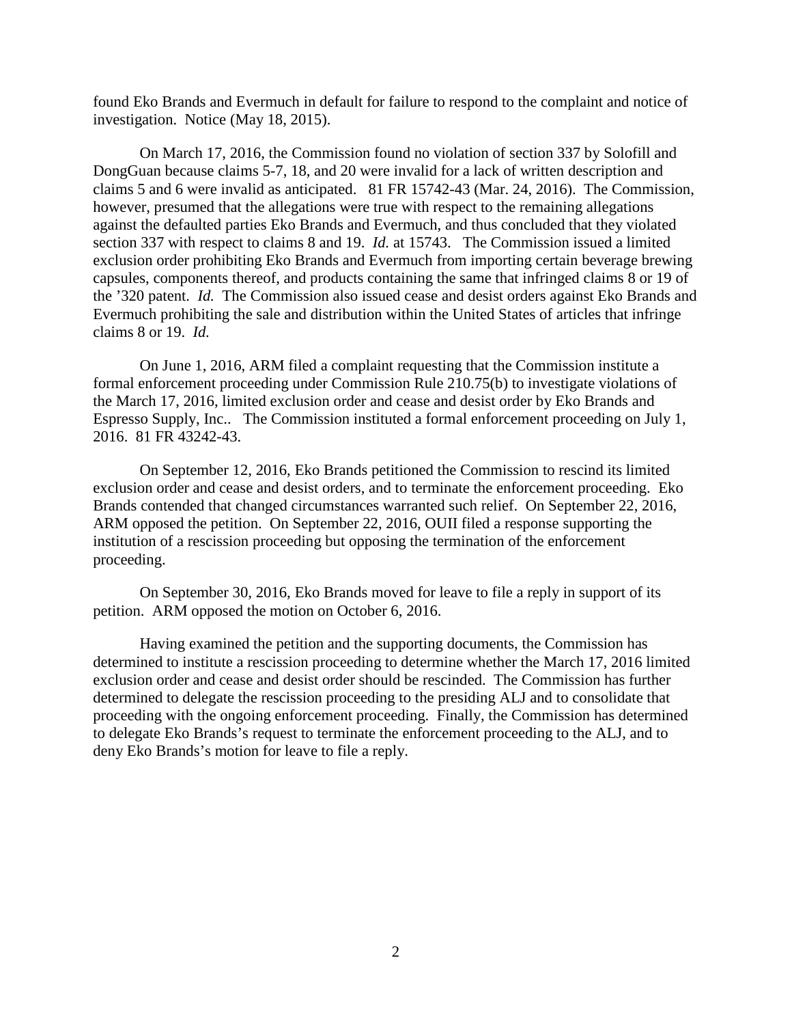found Eko Brands and Evermuch in default for failure to respond to the complaint and notice of investigation. Notice (May 18, 2015).

On March 17, 2016, the Commission found no violation of section 337 by Solofill and DongGuan because claims 5-7, 18, and 20 were invalid for a lack of written description and claims 5 and 6 were invalid as anticipated. 81 FR 15742-43 (Mar. 24, 2016). The Commission, however, presumed that the allegations were true with respect to the remaining allegations against the defaulted parties Eko Brands and Evermuch, and thus concluded that they violated section 337 with respect to claims 8 and 19. *Id.* at 15743. The Commission issued a limited exclusion order prohibiting Eko Brands and Evermuch from importing certain beverage brewing capsules, components thereof, and products containing the same that infringed claims 8 or 19 of the '320 patent. *Id.* The Commission also issued cease and desist orders against Eko Brands and Evermuch prohibiting the sale and distribution within the United States of articles that infringe claims 8 or 19. *Id.*

On June 1, 2016, ARM filed a complaint requesting that the Commission institute a formal enforcement proceeding under Commission Rule 210.75(b) to investigate violations of the March 17, 2016, limited exclusion order and cease and desist order by Eko Brands and Espresso Supply, Inc.. The Commission instituted a formal enforcement proceeding on July 1, 2016. 81 FR 43242-43.

On September 12, 2016, Eko Brands petitioned the Commission to rescind its limited exclusion order and cease and desist orders, and to terminate the enforcement proceeding. Eko Brands contended that changed circumstances warranted such relief. On September 22, 2016, ARM opposed the petition. On September 22, 2016, OUII filed a response supporting the institution of a rescission proceeding but opposing the termination of the enforcement proceeding.

On September 30, 2016, Eko Brands moved for leave to file a reply in support of its petition. ARM opposed the motion on October 6, 2016.

Having examined the petition and the supporting documents, the Commission has determined to institute a rescission proceeding to determine whether the March 17, 2016 limited exclusion order and cease and desist order should be rescinded. The Commission has further determined to delegate the rescission proceeding to the presiding ALJ and to consolidate that proceeding with the ongoing enforcement proceeding. Finally, the Commission has determined to delegate Eko Brands's request to terminate the enforcement proceeding to the ALJ, and to deny Eko Brands's motion for leave to file a reply.